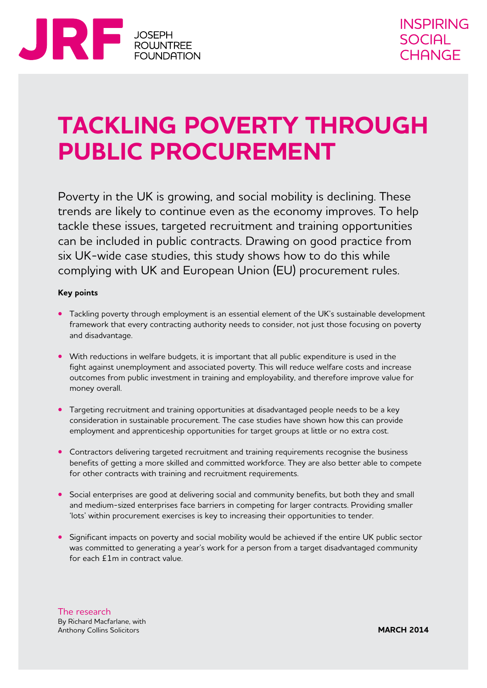

# **Tackling poverty through public procurement**

Poverty in the UK is growing, and social mobility is declining. These trends are likely to continue even as the economy improves. To help tackle these issues, targeted recruitment and training opportunities can be included in public contracts. Drawing on good practice from six UK-wide case studies, this study shows how to do this while complying with UK and European Union (EU) procurement rules.

### **Key points**

- Tackling poverty through employment is an essential element of the UK's sustainable development framework that every contracting authority needs to consider, not just those focusing on poverty and disadvantage.
- With reductions in welfare budgets, it is important that all public expenditure is used in the fight against unemployment and associated poverty. This will reduce welfare costs and increase outcomes from public investment in training and employability, and therefore improve value for money overall.
- **•** Targeting recruitment and training opportunities at disadvantaged people needs to be a key consideration in sustainable procurement. The case studies have shown how this can provide employment and apprenticeship opportunities for target groups at little or no extra cost.
- **•** Contractors delivering targeted recruitment and training requirements recognise the business benefits of getting a more skilled and committed workforce. They are also better able to compete for other contracts with training and recruitment requirements.
- Social enterprises are good at delivering social and community benefits, but both they and small and medium-sized enterprises face barriers in competing for larger contracts. Providing smaller 'lots' within procurement exercises is key to increasing their opportunities to tender.
- Significant impacts on poverty and social mobility would be achieved if the entire UK public sector was committed to generating a year's work for a person from a target disadvantaged community for each £1m in contract value.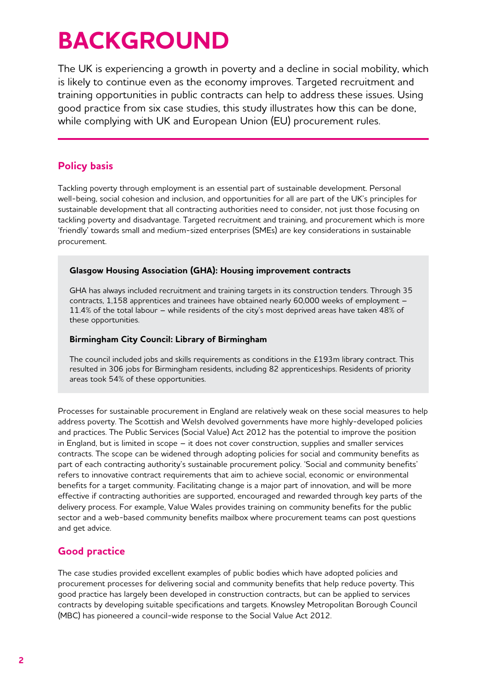# **BACKGROUND**

The UK is experiencing a growth in poverty and a decline in social mobility, which is likely to continue even as the economy improves. Targeted recruitment and training opportunities in public contracts can help to address these issues. Using good practice from six case studies, this study illustrates how this can be done, while complying with UK and European Union (EU) procurement rules.

# **Policy basis**

Tackling poverty through employment is an essential part of sustainable development. Personal well-being, social cohesion and inclusion, and opportunities for all are part of the UK's principles for sustainable development that all contracting authorities need to consider, not just those focusing on tackling poverty and disadvantage. Targeted recruitment and training, and procurement which is more 'friendly' towards small and medium-sized enterprises (SMEs) are key considerations in sustainable procurement.

## **Glasgow Housing Association (GHA): Housing improvement contracts**

GHA has always included recruitment and training targets in its construction tenders. Through 35 contracts, 1,158 apprentices and trainees have obtained nearly 60,000 weeks of employment – 11.4% of the total labour – while residents of the city's most deprived areas have taken 48% of these opportunities.

## **Birmingham City Council: Library of Birmingham**

The council included jobs and skills requirements as conditions in the £193m library contract. This resulted in 306 jobs for Birmingham residents, including 82 apprenticeships. Residents of priority areas took 54% of these opportunities.

Processes for sustainable procurement in England are relatively weak on these social measures to help address poverty. The Scottish and Welsh devolved governments have more highly-developed policies and practices. The Public Services (Social Value) Act 2012 has the potential to improve the position in England, but is limited in scope – it does not cover construction, supplies and smaller services contracts. The scope can be widened through adopting policies for social and community benefits as part of each contracting authority's sustainable procurement policy. 'Social and community benefits' refers to innovative contract requirements that aim to achieve social, economic or environmental benefits for a target community. Facilitating change is a major part of innovation, and will be more effective if contracting authorities are supported, encouraged and rewarded through key parts of the delivery process. For example, Value Wales provides training on community benefits for the public sector and a web-based community benefits mailbox where procurement teams can post questions and get advice.

# **Good practice**

The case studies provided excellent examples of public bodies which have adopted policies and procurement processes for delivering social and community benefits that help reduce poverty. This good practice has largely been developed in construction contracts, but can be applied to services contracts by developing suitable specifications and targets. Knowsley Metropolitan Borough Council (MBC) has pioneered a council-wide response to the Social Value Act 2012.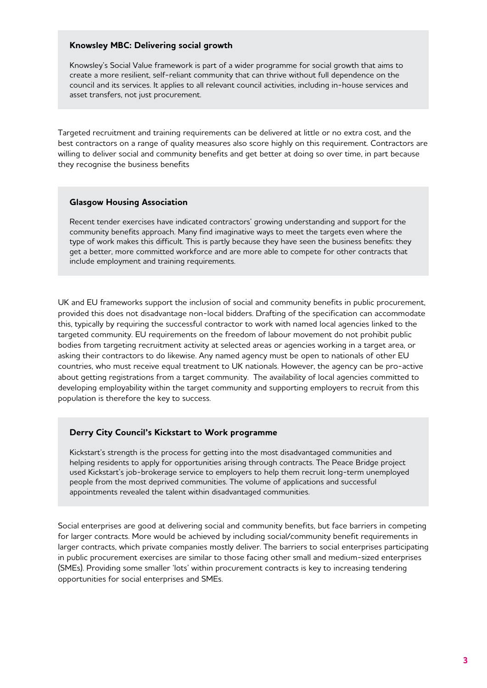#### **Knowsley MBC: Delivering social growth**

Knowsley's Social Value framework is part of a wider programme for social growth that aims to create a more resilient, self-reliant community that can thrive without full dependence on the council and its services. It applies to all relevant council activities, including in-house services and asset transfers, not just procurement.

Targeted recruitment and training requirements can be delivered at little or no extra cost, and the best contractors on a range of quality measures also score highly on this requirement. Contractors are willing to deliver social and community benefits and get better at doing so over time, in part because they recognise the business benefits

### **Glasgow Housing Association**

Recent tender exercises have indicated contractors' growing understanding and support for the community benefits approach. Many find imaginative ways to meet the targets even where the type of work makes this difficult. This is partly because they have seen the business benefits: they get a better, more committed workforce and are more able to compete for other contracts that include employment and training requirements.

UK and EU frameworks support the inclusion of social and community benefits in public procurement, provided this does not disadvantage non-local bidders. Drafting of the specification can accommodate this, typically by requiring the successful contractor to work with named local agencies linked to the targeted community. EU requirements on the freedom of labour movement do not prohibit public bodies from targeting recruitment activity at selected areas or agencies working in a target area, or asking their contractors to do likewise. Any named agency must be open to nationals of other EU countries, who must receive equal treatment to UK nationals. However, the agency can be pro-active about getting registrations from a target community. The availability of local agencies committed to developing employability within the target community and supporting employers to recruit from this population is therefore the key to success.

### **Derry City Council's Kickstart to Work programme**

Kickstart's strength is the process for getting into the most disadvantaged communities and helping residents to apply for opportunities arising through contracts. The Peace Bridge project used Kickstart's job-brokerage service to employers to help them recruit long-term unemployed people from the most deprived communities. The volume of applications and successful appointments revealed the talent within disadvantaged communities.

Social enterprises are good at delivering social and community benefits, but face barriers in competing for larger contracts. More would be achieved by including social/community benefit requirements in larger contracts, which private companies mostly deliver. The barriers to social enterprises participating in public procurement exercises are similar to those facing other small and medium-sized enterprises (SMEs). Providing some smaller 'lots' within procurement contracts is key to increasing tendering opportunities for social enterprises and SMEs.